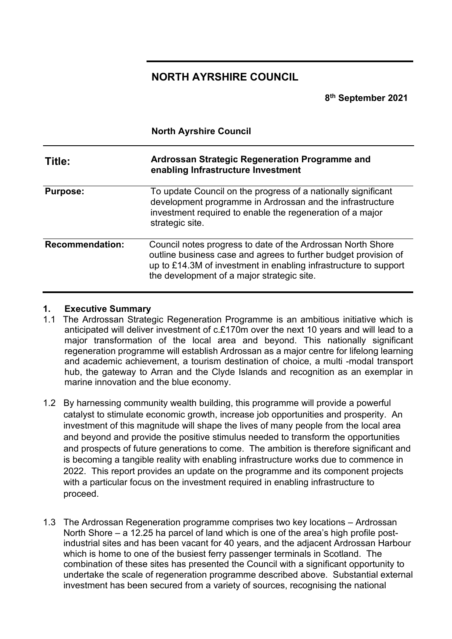## **NORTH AYRSHIRE COUNCIL**

**8th September 2021**

|                        | <b>North Ayrshire Council</b><br>Ardrossan Strategic Regeneration Programme and<br>enabling Infrastructure Investment                                                                                                                            |  |  |  |  |  |  |
|------------------------|--------------------------------------------------------------------------------------------------------------------------------------------------------------------------------------------------------------------------------------------------|--|--|--|--|--|--|
| Title:                 |                                                                                                                                                                                                                                                  |  |  |  |  |  |  |
| <b>Purpose:</b>        | To update Council on the progress of a nationally significant<br>development programme in Ardrossan and the infrastructure<br>investment required to enable the regeneration of a major<br>strategic site.                                       |  |  |  |  |  |  |
| <b>Recommendation:</b> | Council notes progress to date of the Ardrossan North Shore<br>outline business case and agrees to further budget provision of<br>up to £14.3M of investment in enabling infrastructure to support<br>the development of a major strategic site. |  |  |  |  |  |  |

#### **1. Executive Summary**

- 1.1 The Ardrossan Strategic Regeneration Programme is an ambitious initiative which is anticipated will deliver investment of c.£170m over the next 10 years and will lead to a major transformation of the local area and beyond. This nationally significant regeneration programme will establish Ardrossan as a major centre for lifelong learning and academic achievement, a tourism destination of choice, a multi -modal transport hub, the gateway to Arran and the Clyde Islands and recognition as an exemplar in marine innovation and the blue economy.
- 1.2 By harnessing community wealth building, this programme will provide a powerful catalyst to stimulate economic growth, increase job opportunities and prosperity. An investment of this magnitude will shape the lives of many people from the local area and beyond and provide the positive stimulus needed to transform the opportunities and prospects of future generations to come. The ambition is therefore significant and is becoming a tangible reality with enabling infrastructure works due to commence in 2022. This report provides an update on the programme and its component projects with a particular focus on the investment required in enabling infrastructure to proceed.
- 1.3 The Ardrossan Regeneration programme comprises two key locations Ardrossan North Shore – a 12.25 ha parcel of land which is one of the area's high profile postindustrial sites and has been vacant for 40 years, and the adjacent Ardrossan Harbour which is home to one of the busiest ferry passenger terminals in Scotland. The combination of these sites has presented the Council with a significant opportunity to undertake the scale of regeneration programme described above. Substantial external investment has been secured from a variety of sources, recognising the national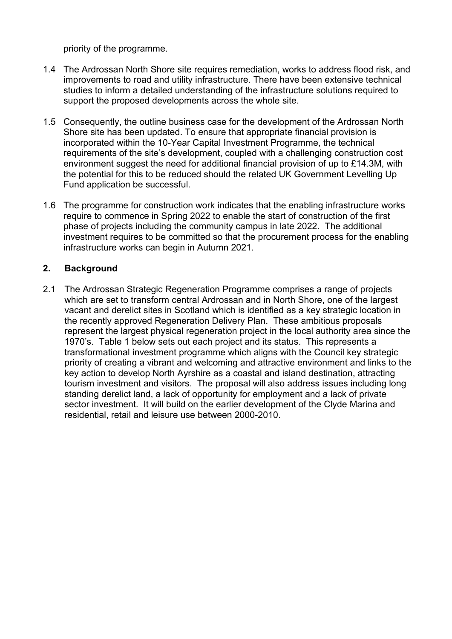priority of the programme.

- 1.4 The Ardrossan North Shore site requires remediation, works to address flood risk, and improvements to road and utility infrastructure. There have been extensive technical studies to inform a detailed understanding of the infrastructure solutions required to support the proposed developments across the whole site.
- 1.5 Consequently, the outline business case for the development of the Ardrossan North Shore site has been updated. To ensure that appropriate financial provision is incorporated within the 10-Year Capital Investment Programme, the technical requirements of the site's development, coupled with a challenging construction cost environment suggest the need for additional financial provision of up to £14.3M, with the potential for this to be reduced should the related UK Government Levelling Up Fund application be successful.
- 1.6 The programme for construction work indicates that the enabling infrastructure works require to commence in Spring 2022 to enable the start of construction of the first phase of projects including the community campus in late 2022. The additional investment requires to be committed so that the procurement process for the enabling infrastructure works can begin in Autumn 2021.

#### **2. Background**

2.1 The Ardrossan Strategic Regeneration Programme comprises a range of projects which are set to transform central Ardrossan and in North Shore, one of the largest vacant and derelict sites in Scotland which is identified as a key strategic location in the recently approved Regeneration Delivery Plan. These ambitious proposals represent the largest physical regeneration project in the local authority area since the 1970's. Table 1 below sets out each project and its status. This represents a transformational investment programme which aligns with the Council key strategic priority of creating a vibrant and welcoming and attractive environment and links to the key action to develop North Ayrshire as a coastal and island destination, attracting tourism investment and visitors. The proposal will also address issues including long standing derelict land, a lack of opportunity for employment and a lack of private sector investment. It will build on the earlier development of the Clyde Marina and residential, retail and leisure use between 2000-2010.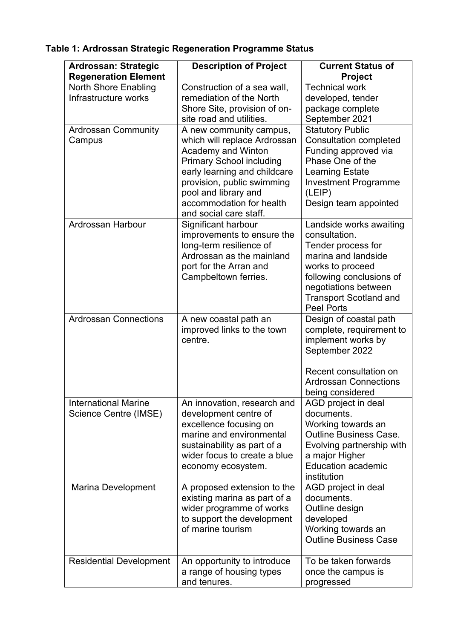| <b>Ardrossan: Strategic</b>                          | <b>Description of Project</b>                                                                                                                                                                                                                                       | <b>Current Status of</b>                                                                                                                                                                                            |
|------------------------------------------------------|---------------------------------------------------------------------------------------------------------------------------------------------------------------------------------------------------------------------------------------------------------------------|---------------------------------------------------------------------------------------------------------------------------------------------------------------------------------------------------------------------|
| <b>Regeneration Element</b>                          |                                                                                                                                                                                                                                                                     | <b>Project</b><br><b>Technical work</b>                                                                                                                                                                             |
| <b>North Shore Enabling</b><br>Infrastructure works  | Construction of a sea wall,<br>remediation of the North<br>Shore Site, provision of on-<br>site road and utilities.                                                                                                                                                 | developed, tender<br>package complete<br>September 2021                                                                                                                                                             |
| <b>Ardrossan Community</b><br>Campus                 | A new community campus,<br>which will replace Ardrossan<br><b>Academy and Winton</b><br><b>Primary School including</b><br>early learning and childcare<br>provision, public swimming<br>pool and library and<br>accommodation for health<br>and social care staff. | <b>Statutory Public</b><br><b>Consultation completed</b><br>Funding approved via<br>Phase One of the<br><b>Learning Estate</b><br><b>Investment Programme</b><br>(LEIP)<br>Design team appointed                    |
| Ardrossan Harbour                                    | Significant harbour<br>improvements to ensure the<br>long-term resilience of<br>Ardrossan as the mainland<br>port for the Arran and<br>Campbeltown ferries.                                                                                                         | Landside works awaiting<br>consultation.<br>Tender process for<br>marina and landside<br>works to proceed<br>following conclusions of<br>negotiations between<br><b>Transport Scotland and</b><br><b>Peel Ports</b> |
| <b>Ardrossan Connections</b>                         | A new coastal path an<br>improved links to the town<br>centre.                                                                                                                                                                                                      | Design of coastal path<br>complete, requirement to<br>implement works by<br>September 2022<br>Recent consultation on<br><b>Ardrossan Connections</b><br>being considered                                            |
| <b>International Marine</b><br>Science Centre (IMSE) | An innovation, research and<br>development centre of<br>excellence focusing on<br>marine and environmental<br>sustainability as part of a<br>wider focus to create a blue<br>economy ecosystem.                                                                     | AGD project in deal<br>documents.<br>Working towards an<br><b>Outline Business Case.</b><br>Evolving partnership with<br>a major Higher<br><b>Education academic</b><br>institution                                 |
| Marina Development                                   | A proposed extension to the<br>existing marina as part of a<br>wider programme of works<br>to support the development<br>of marine tourism                                                                                                                          | AGD project in deal<br>documents.<br>Outline design<br>developed<br>Working towards an<br><b>Outline Business Case</b>                                                                                              |
| <b>Residential Development</b>                       | An opportunity to introduce<br>a range of housing types<br>and tenures.                                                                                                                                                                                             | To be taken forwards<br>once the campus is<br>progressed                                                                                                                                                            |

# **Table 1: Ardrossan Strategic Regeneration Programme Status**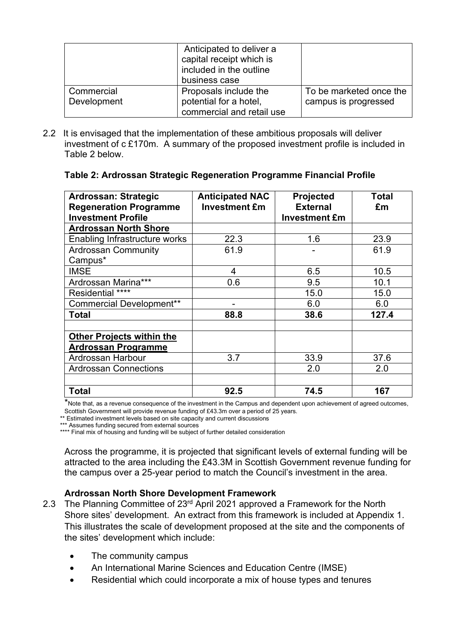|             | Anticipated to deliver a<br>capital receipt which is<br>included in the outline<br>business case |                         |
|-------------|--------------------------------------------------------------------------------------------------|-------------------------|
| Commercial  | Proposals include the                                                                            | To be marketed once the |
| Development | potential for a hotel,                                                                           | campus is progressed    |
|             | commercial and retail use                                                                        |                         |

2.2 It is envisaged that the implementation of these ambitious proposals will deliver investment of c £170m. A summary of the proposed investment profile is included in Table 2 below.

| Table 2: Ardrossan Strategic Regeneration Programme Financial Profile |  |  |  |  |  |
|-----------------------------------------------------------------------|--|--|--|--|--|
|-----------------------------------------------------------------------|--|--|--|--|--|

| Ardrossan: Strategic<br><b>Regeneration Programme</b><br><b>Investment Profile</b> | <b>Anticipated NAC</b><br><b>Investment £m</b> | <b>Projected</b><br><b>External</b><br><b>Investment £m</b> | Total<br>£m |  |
|------------------------------------------------------------------------------------|------------------------------------------------|-------------------------------------------------------------|-------------|--|
| <b>Ardrossan North Shore</b>                                                       |                                                |                                                             |             |  |
| Enabling Infrastructure works                                                      | 22.3                                           | 1.6                                                         | 23.9        |  |
| <b>Ardrossan Community</b><br>Campus*                                              | 61.9                                           |                                                             | 61.9        |  |
| <b>IMSE</b>                                                                        | 4                                              | 6.5                                                         | 10.5        |  |
| Ardrossan Marina***                                                                | 0.6                                            | 9.5                                                         | 10.1        |  |
| Residential ****                                                                   |                                                | 15.0                                                        | 15.0        |  |
| <b>Commercial Development**</b>                                                    |                                                | 6.0                                                         | 6.0         |  |
| Total                                                                              | 88.8                                           | 38.6                                                        | 127.4       |  |
|                                                                                    |                                                |                                                             |             |  |
| <b>Other Projects within the</b><br><b>Ardrossan Programme</b>                     |                                                |                                                             |             |  |
| Ardrossan Harbour                                                                  | 3.7                                            | 33.9                                                        | 37.6        |  |
| <b>Ardrossan Connections</b>                                                       |                                                | 2.0                                                         | 2.0         |  |
|                                                                                    |                                                |                                                             |             |  |
| <b>Total</b>                                                                       | 92.5                                           | 74.5                                                        | 167         |  |

\*Note that, as a revenue consequence of the investment in the Campus and dependent upon achievement of agreed outcomes, Scottish Government will provide revenue funding of £43.3m over a period of 25 years.

\*\* Estimated investment levels based on site capacity and current discussions

\*\*\* Assumes funding secured from external sources

\*\*\*\* Final mix of housing and funding will be subject of further detailed consideration

Across the programme, it is projected that significant levels of external funding will be attracted to the area including the £43.3M in Scottish Government revenue funding for the campus over a 25-year period to match the Council's investment in the area.

#### **Ardrossan North Shore Development Framework**

- 2.3 The Planning Committee of 23<sup>rd</sup> April 2021 approved a Framework for the North Shore sites' development. An extract from this framework is included at Appendix 1. This illustrates the scale of development proposed at the site and the components of the sites' development which include:
	- The community campus
	- An International Marine Sciences and Education Centre (IMSE)
	- Residential which could incorporate a mix of house types and tenures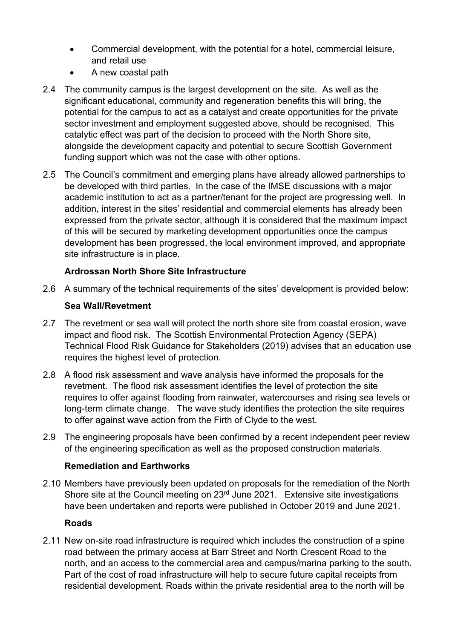- Commercial development, with the potential for a hotel, commercial leisure, and retail use
- A new coastal path
- 2.4 The community campus is the largest development on the site. As well as the significant educational, community and regeneration benefits this will bring, the potential for the campus to act as a catalyst and create opportunities for the private sector investment and employment suggested above, should be recognised. This catalytic effect was part of the decision to proceed with the North Shore site, alongside the development capacity and potential to secure Scottish Government funding support which was not the case with other options.
- 2.5 The Council's commitment and emerging plans have already allowed partnerships to be developed with third parties. In the case of the IMSE discussions with a major academic institution to act as a partner/tenant for the project are progressing well. In addition, interest in the sites' residential and commercial elements has already been expressed from the private sector, although it is considered that the maximum impact of this will be secured by marketing development opportunities once the campus development has been progressed, the local environment improved, and appropriate site infrastructure is in place.

## **Ardrossan North Shore Site Infrastructure**

2.6 A summary of the technical requirements of the sites' development is provided below:

#### **Sea Wall/Revetment**

- 2.7 The revetment or sea wall will protect the north shore site from coastal erosion, wave impact and flood risk. The Scottish Environmental Protection Agency (SEPA) Technical Flood Risk Guidance for Stakeholders (2019) advises that an education use requires the highest level of protection.
- 2.8 A flood risk assessment and wave analysis have informed the proposals for the revetment. The flood risk assessment identifies the level of protection the site requires to offer against flooding from rainwater, watercourses and rising sea levels or long-term climate change. The wave study identifies the protection the site requires to offer against wave action from the Firth of Clyde to the west.
- 2.9 The engineering proposals have been confirmed by a recent independent peer review of the engineering specification as well as the proposed construction materials.

#### **Remediation and Earthworks**

2.10 Members have previously been updated on proposals for the remediation of the North Shore site at the Council meeting on 23<sup>rd</sup> June 2021. Extensive site investigations have been undertaken and reports were published in October 2019 and June 2021.

#### **Roads**

2.11 New on-site road infrastructure is required which includes the construction of a spine road between the primary access at Barr Street and North Crescent Road to the north, and an access to the commercial area and campus/marina parking to the south. Part of the cost of road infrastructure will help to secure future capital receipts from residential development. Roads within the private residential area to the north will be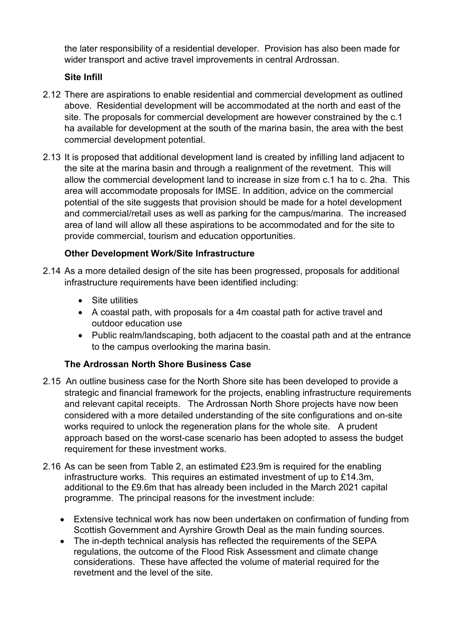the later responsibility of a residential developer. Provision has also been made for wider transport and active travel improvements in central Ardrossan.

## **Site Infill**

- 2.12 There are aspirations to enable residential and commercial development as outlined above. Residential development will be accommodated at the north and east of the site. The proposals for commercial development are however constrained by the c.1 ha available for development at the south of the marina basin, the area with the best commercial development potential.
- 2.13 It is proposed that additional development land is created by infilling land adjacent to the site at the marina basin and through a realignment of the revetment. This will allow the commercial development land to increase in size from c.1 ha to c. 2ha. This area will accommodate proposals for IMSE. In addition, advice on the commercial potential of the site suggests that provision should be made for a hotel development and commercial/retail uses as well as parking for the campus/marina. The increased area of land will allow all these aspirations to be accommodated and for the site to provide commercial, tourism and education opportunities.

## **Other Development Work/Site Infrastructure**

- 2.14 As a more detailed design of the site has been progressed, proposals for additional infrastructure requirements have been identified including:
	- Site utilities
	- A coastal path, with proposals for a 4m coastal path for active travel and outdoor education use
	- Public realm/landscaping, both adjacent to the coastal path and at the entrance to the campus overlooking the marina basin.

#### **The Ardrossan North Shore Business Case**

- 2.15 An outline business case for the North Shore site has been developed to provide a strategic and financial framework for the projects, enabling infrastructure requirements and relevant capital receipts. The Ardrossan North Shore projects have now been considered with a more detailed understanding of the site configurations and on-site works required to unlock the regeneration plans for the whole site. A prudent approach based on the worst-case scenario has been adopted to assess the budget requirement for these investment works.
- 2.16 As can be seen from Table 2, an estimated £23.9m is required for the enabling infrastructure works. This requires an estimated investment of up to £14.3m, additional to the £9.6m that has already been included in the March 2021 capital programme. The principal reasons for the investment include:
	- Extensive technical work has now been undertaken on confirmation of funding from Scottish Government and Ayrshire Growth Deal as the main funding sources.
	- The in-depth technical analysis has reflected the requirements of the SEPA regulations, the outcome of the Flood Risk Assessment and climate change considerations. These have affected the volume of material required for the revetment and the level of the site.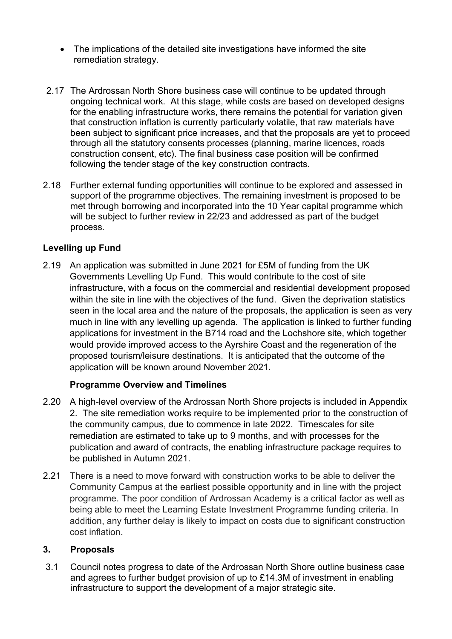- The implications of the detailed site investigations have informed the site remediation strategy.
- 2.17 The Ardrossan North Shore business case will continue to be updated through ongoing technical work. At this stage, while costs are based on developed designs for the enabling infrastructure works, there remains the potential for variation given that construction inflation is currently particularly volatile, that raw materials have been subject to significant price increases, and that the proposals are yet to proceed through all the statutory consents processes (planning, marine licences, roads construction consent, etc). The final business case position will be confirmed following the tender stage of the key construction contracts.
- 2.18 Further external funding opportunities will continue to be explored and assessed in support of the programme objectives. The remaining investment is proposed to be met through borrowing and incorporated into the 10 Year capital programme which will be subject to further review in 22/23 and addressed as part of the budget process.

#### **Levelling up Fund**

2.19 An application was submitted in June 2021 for £5M of funding from the UK Governments Levelling Up Fund. This would contribute to the cost of site infrastructure, with a focus on the commercial and residential development proposed within the site in line with the objectives of the fund. Given the deprivation statistics seen in the local area and the nature of the proposals, the application is seen as very much in line with any levelling up agenda. The application is linked to further funding applications for investment in the B714 road and the Lochshore site, which together would provide improved access to the Ayrshire Coast and the regeneration of the proposed tourism/leisure destinations. It is anticipated that the outcome of the application will be known around November 2021.

## **Programme Overview and Timelines**

- 2.20 A high-level overview of the Ardrossan North Shore projects is included in Appendix 2. The site remediation works require to be implemented prior to the construction of the community campus, due to commence in late 2022. Timescales for site remediation are estimated to take up to 9 months, and with processes for the publication and award of contracts, the enabling infrastructure package requires to be published in Autumn 2021.
- 2.21 There is a need to move forward with construction works to be able to deliver the Community Campus at the earliest possible opportunity and in line with the project programme. The poor condition of Ardrossan Academy is a critical factor as well as being able to meet the Learning Estate Investment Programme funding criteria. In addition, any further delay is likely to impact on costs due to significant construction cost inflation.

#### **3. Proposals**

3.1 Council notes progress to date of the Ardrossan North Shore outline business case and agrees to further budget provision of up to £14.3M of investment in enabling infrastructure to support the development of a major strategic site.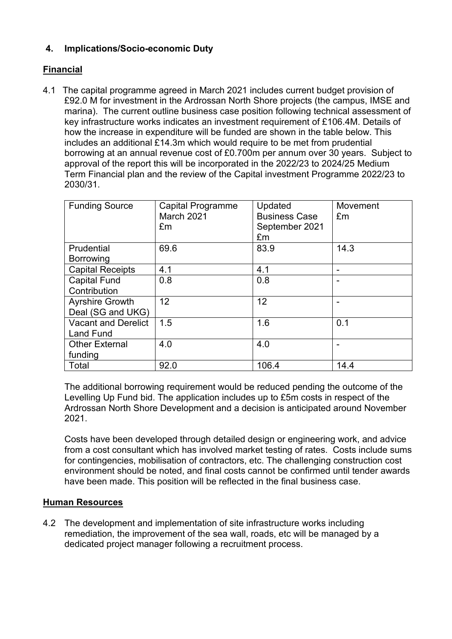## **4. Implications/Socio-economic Duty**

## **Financial**

4.1 The capital programme agreed in March 2021 includes current budget provision of £92.0 M for investment in the Ardrossan North Shore projects (the campus, IMSE and marina). The current outline business case position following technical assessment of key infrastructure works indicates an investment requirement of £106.4M. Details of how the increase in expenditure will be funded are shown in the table below. This includes an additional £14.3m which would require to be met from prudential borrowing at an annual revenue cost of £0.700m per annum over 30 years. Subject to approval of the report this will be incorporated in the 2022/23 to 2024/25 Medium Term Financial plan and the review of the Capital investment Programme 2022/23 to 2030/31.

| <b>Funding Source</b>                          | <b>Capital Programme</b><br><b>March 2021</b><br>£m | Updated<br><b>Business Case</b><br>September 2021<br>£m | Movement<br>Em |
|------------------------------------------------|-----------------------------------------------------|---------------------------------------------------------|----------------|
| Prudential<br><b>Borrowing</b>                 | 69.6                                                | 83.9                                                    | 14.3           |
| <b>Capital Receipts</b>                        | 4.1                                                 | 4.1                                                     |                |
| <b>Capital Fund</b><br>Contribution            | 0.8                                                 | 0.8                                                     |                |
| <b>Ayrshire Growth</b><br>Deal (SG and UKG)    | 12                                                  | 12                                                      |                |
| <b>Vacant and Derelict</b><br><b>Land Fund</b> | 1.5                                                 | 1.6                                                     | 0.1            |
| <b>Other External</b><br>funding               | 4.0                                                 | 4.0                                                     |                |
| Total                                          | 92.0                                                | 106.4                                                   | 14.4           |

The additional borrowing requirement would be reduced pending the outcome of the Levelling Up Fund bid. The application includes up to £5m costs in respect of the Ardrossan North Shore Development and a decision is anticipated around November 2021.

Costs have been developed through detailed design or engineering work, and advice from a cost consultant which has involved market testing of rates. Costs include sums for contingencies, mobilisation of contractors, etc. The challenging construction cost environment should be noted, and final costs cannot be confirmed until tender awards have been made. This position will be reflected in the final business case.

#### **Human Resources**

4.2 The development and implementation of site infrastructure works including remediation, the improvement of the sea wall, roads, etc will be managed by a dedicated project manager following a recruitment process.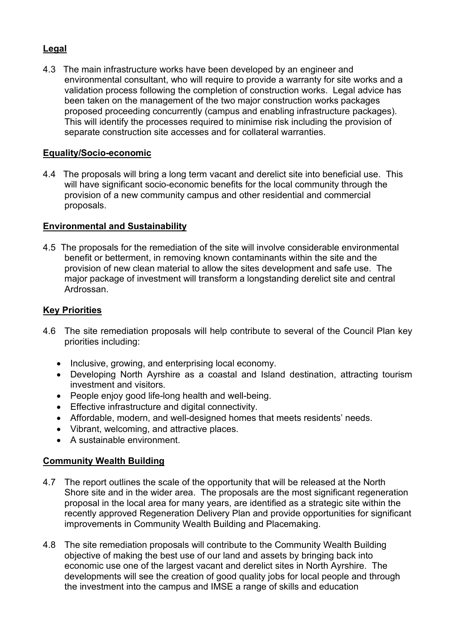## **Legal**

4.3 The main infrastructure works have been developed by an engineer and environmental consultant, who will require to provide a warranty for site works and a validation process following the completion of construction works. Legal advice has been taken on the management of the two major construction works packages proposed proceeding concurrently (campus and enabling infrastructure packages). This will identify the processes required to minimise risk including the provision of separate construction site accesses and for collateral warranties.

#### **Equality/Socio-economic**

4.4 The proposals will bring a long term vacant and derelict site into beneficial use. This will have significant socio-economic benefits for the local community through the provision of a new community campus and other residential and commercial proposals.

#### **Environmental and Sustainability**

4.5 The proposals for the remediation of the site will involve considerable environmental benefit or betterment, in removing known contaminants within the site and the provision of new clean material to allow the sites development and safe use. The major package of investment will transform a longstanding derelict site and central Ardrossan.

#### **Key Priorities**

- 4.6 The site remediation proposals will help contribute to several of the Council Plan key priorities including:
	- Inclusive, growing, and enterprising local economy.
	- Developing North Ayrshire as a coastal and Island destination, attracting tourism investment and visitors.
	- People enjoy good life-long health and well-being.
	- Effective infrastructure and digital connectivity.
	- Affordable, modern, and well-designed homes that meets residents' needs.
	- Vibrant, welcoming, and attractive places.
	- A sustainable environment.

#### **Community Wealth Building**

- 4.7 The report outlines the scale of the opportunity that will be released at the North Shore site and in the wider area. The proposals are the most significant regeneration proposal in the local area for many years, are identified as a strategic site within the recently approved Regeneration Delivery Plan and provide opportunities for significant improvements in Community Wealth Building and Placemaking.
- 4.8 The site remediation proposals will contribute to the Community Wealth Building objective of making the best use of our land and assets by bringing back into economic use one of the largest vacant and derelict sites in North Ayrshire. The developments will see the creation of good quality jobs for local people and through the investment into the campus and IMSE a range of skills and education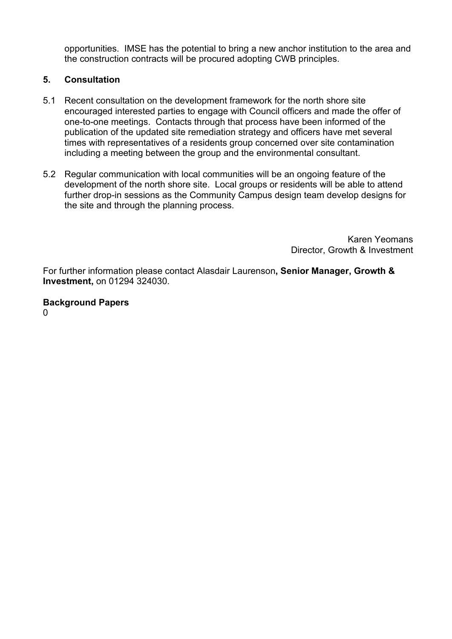opportunities. IMSE has the potential to bring a new anchor institution to the area and the construction contracts will be procured adopting CWB principles.

## **5. Consultation**

- 5.1 Recent consultation on the development framework for the north shore site encouraged interested parties to engage with Council officers and made the offer of one-to-one meetings. Contacts through that process have been informed of the publication of the updated site remediation strategy and officers have met several times with representatives of a residents group concerned over site contamination including a meeting between the group and the environmental consultant.
- 5.2 Regular communication with local communities will be an ongoing feature of the development of the north shore site. Local groups or residents will be able to attend further drop-in sessions as the Community Campus design team develop designs for the site and through the planning process.

Karen Yeomans Director, Growth & Investment

For further information please contact Alasdair Laurenson**, Senior Manager, Growth & Investment,** on 01294 324030.

**Background Papers**  $\Omega$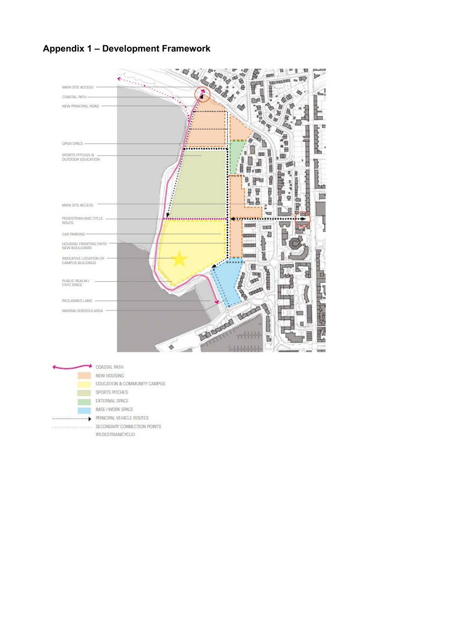## **Appendix 1 – Development Framework**



- $\begin{minipage}{0.5\textwidth} \begin{tabular}{@{}l@{}} \hline \multicolumn{3}{c}{\textbf{C}} & \multicolumn{3}{c}{\textbf{SECOMDARY COMNECTION POINTS}} \end{tabular} \end{minipage}$ 
	- PEDESTRIANCYCLE